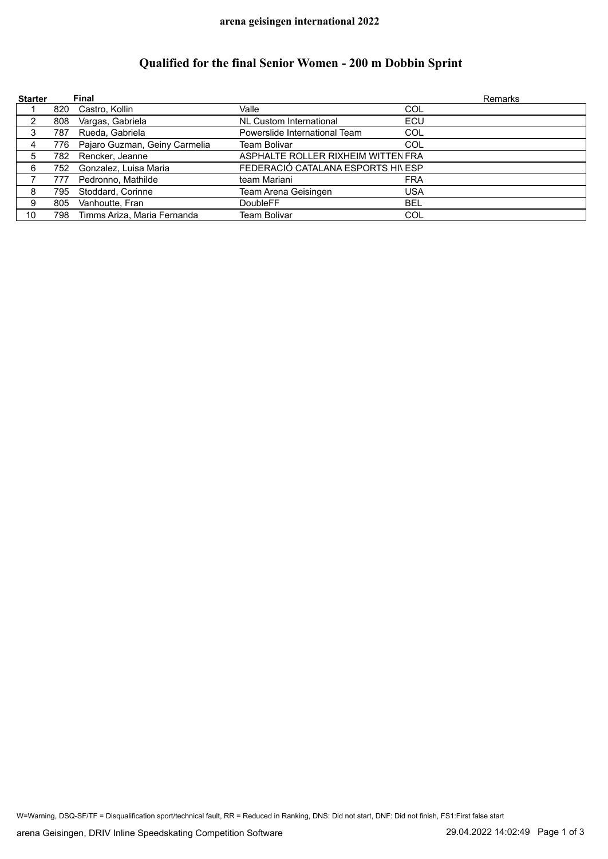## **Qualified for the final Senior Women - 200 m Dobbin Sprint**

| <b>Starter</b> |      | Final                         |                                    |            | <b>Remarks</b> |
|----------------|------|-------------------------------|------------------------------------|------------|----------------|
|                | 820  | Castro, Kollin                | Valle                              | <b>COL</b> |                |
| 2              | 808  | Vargas, Gabriela              | NL Custom International            | ECU        |                |
| 3              | 787  | Rueda, Gabriela               | Powerslide International Team      | COL        |                |
| 4              | 776  | Pajaro Guzman, Geiny Carmelia | Team Bolivar                       | COL        |                |
| 5              | 782. | Rencker, Jeanne               | ASPHALTE ROLLER RIXHEIM WITTEN FRA |            |                |
| 6              | 752  | Gonzalez, Luisa Maria         | FEDERACIÓ CATALANA ESPORTS HI\ ESP |            |                |
|                | 777  | Pedronno, Mathilde            | team Mariani                       | <b>FRA</b> |                |
| 8              | 795  | Stoddard, Corinne             | Team Arena Geisingen               | <b>USA</b> |                |
| 9              | 805  | Vanhoutte, Fran               | <b>DoubleFF</b>                    | <b>BEL</b> |                |
| 10             | 798  | Timms Ariza, Maria Fernanda   | Team Bolivar                       | COL        |                |

W=Warning, DSQ-SF/TF = Disqualification sport/technical fault, RR = Reduced in Ranking, DNS: Did not start, DNF: Did not finish, FS1:First false start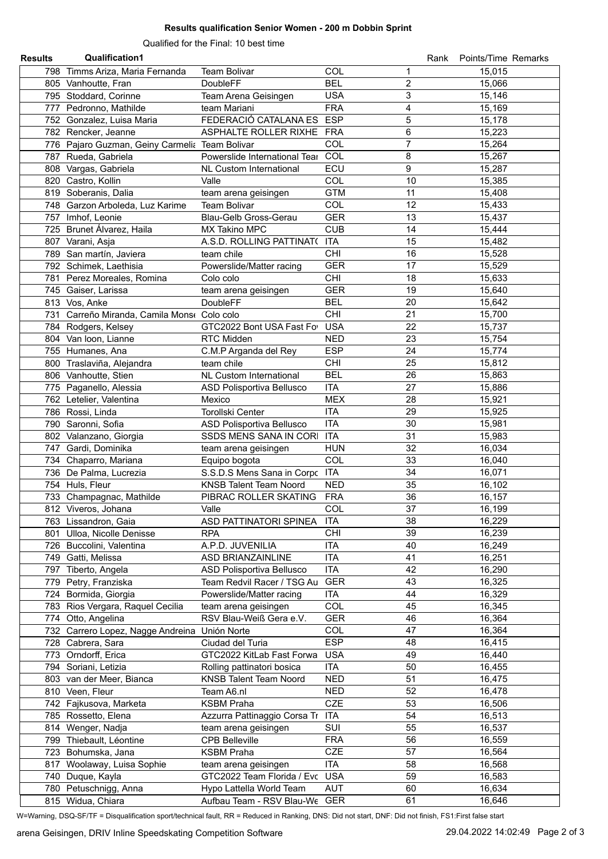## **Results qualification Senior Women - 200 m Dobbin Sprint**

Qualified for the Final: 10 best time

| <b>Results</b> | Qualification1                                 |                                                         |                              |    | Rank Points/Time Remarks |
|----------------|------------------------------------------------|---------------------------------------------------------|------------------------------|----|--------------------------|
|                | 798 Timms Ariza, Maria Fernanda                | Team Bolivar                                            | COL                          | 1  | 15,015                   |
|                | 805 Vanhoutte, Fran                            | <b>DoubleFF</b>                                         | <b>BEL</b><br>$\overline{c}$ |    | 15,066                   |
|                | 795 Stoddard, Corinne                          | Team Arena Geisingen                                    | <b>USA</b>                   | 3  | 15,146                   |
|                | 777 Pedronno, Mathilde                         | team Mariani                                            | <b>FRA</b>                   | 4  | 15,169                   |
|                | 752 Gonzalez, Luisa Maria                      | FEDERACIÓ CATALANA ES                                   | <b>ESP</b><br>5              |    | 15,178                   |
|                | 782 Rencker, Jeanne                            | ASPHALTE ROLLER RIXHE FRA                               | 6                            |    | 15,223                   |
|                | 776 Pajaro Guzman, Geiny Carmelia Team Bolivar |                                                         | $\overline{7}$<br>COL        |    | 15,264                   |
|                | 787 Rueda, Gabriela                            | Powerslide International Tear                           | COL<br>8                     |    | 15,267                   |
|                |                                                | <b>NL Custom International</b>                          | ECU                          | 9  | 15,287                   |
|                | 808 Vargas, Gabriela                           | Valle                                                   | COL                          | 10 | 15,385                   |
|                | 820 Castro, Kollin                             |                                                         | <b>GTM</b>                   | 11 |                          |
|                | 819 Soberanis, Dalia                           | team arena geisingen                                    |                              |    | 15,408                   |
|                | 748 Garzon Arboleda, Luz Karime                | <b>Team Bolivar</b>                                     | COL                          | 12 | 15,433                   |
|                | 757 Imhof, Leonie                              | Blau-Gelb Gross-Gerau                                   | <b>GER</b>                   | 13 | 15,437                   |
|                | 725 Brunet Álvarez, Haila                      | MX Takino MPC                                           | <b>CUB</b>                   | 14 | 15,444                   |
|                | 807 Varani, Asja                               | A.S.D. ROLLING PATTINAT( ITA                            |                              | 15 | 15,482                   |
|                | 789 San martín, Javiera                        | team chile                                              | CHI                          | 16 | 15,528                   |
|                | 792 Schimek, Laethisia                         | Powerslide/Matter racing                                | <b>GER</b>                   | 17 | 15,529                   |
|                | 781 Perez Moreales, Romina                     | Colo colo                                               | CHI                          | 18 | 15,633                   |
|                | 745 Gaiser, Larissa                            | team arena geisingen                                    | <b>GER</b>                   | 19 | 15,640                   |
|                | 813 Vos, Anke                                  | <b>DoubleFF</b>                                         | <b>BEL</b>                   | 20 | 15,642                   |
|                | 731 Carreño Miranda, Camila Monse Colo colo    |                                                         | CHI                          | 21 | 15,700                   |
|                | 784 Rodgers, Kelsey                            | GTC2022 Bont USA Fast Fo                                | <b>USA</b>                   | 22 | 15,737                   |
|                | 804 Van loon, Lianne                           | RTC Midden                                              | <b>NED</b>                   | 23 | 15,754                   |
|                | 755 Humanes, Ana                               | C.M.P Arganda del Rey                                   | <b>ESP</b>                   | 24 | 15,774                   |
|                | 800 Traslaviña, Alejandra                      | team chile                                              | CHI                          | 25 | 15,812                   |
|                | 806 Vanhoutte, Stien                           | NL Custom International                                 | <b>BEL</b>                   | 26 | 15,863                   |
|                | 775 Paganello, Alessia                         | ASD Polisportiva Bellusco                               | <b>ITA</b>                   | 27 | 15,886                   |
|                | 762 Letelier, Valentina                        | Mexico                                                  | <b>MEX</b>                   | 28 | 15,921                   |
|                | 786 Rossi, Linda                               | Torollski Center                                        | <b>ITA</b>                   | 29 | 15,925                   |
|                | 790 Saronni, Sofia                             | ASD Polisportiva Bellusco                               | <b>ITA</b>                   | 30 | 15,981                   |
|                | 802 Valanzano, Giorgia                         | SSDS MENS SANA IN CORI                                  | <b>ITA</b>                   | 31 | 15,983                   |
|                | 747 Gardi, Dominika                            | team arena geisingen                                    | <b>HUN</b>                   | 32 | 16,034                   |
|                | 734 Chaparro, Mariana                          | Equipo bogota                                           | COL                          | 33 | 16,040                   |
|                | 736 De Palma, Lucrezia                         | S.S.D.S Mens Sana in Corpc ITA                          |                              | 34 | 16,071                   |
|                | 754 Huls, Fleur                                | <b>KNSB Talent Team Noord</b>                           | <b>NED</b>                   | 35 | 16,102                   |
|                | 733 Champagnac, Mathilde                       | PIBRAC ROLLER SKATING                                   | <b>FRA</b>                   | 36 | 16,157                   |
|                | 812 Viveros, Johana                            | Valle                                                   | COL                          | 37 | 16,199                   |
|                | 763 Lissandron, Gaia                           | ASD PATTINATORI SPINEA                                  | <b>ITA</b>                   | 38 | 16,229                   |
|                | 801 Ulloa, Nicolle Denisse                     | <b>RPA</b>                                              | <b>CHI</b>                   | 39 | 16,239                   |
|                | 726 Buccolini, Valentina                       | A.P.D. JUVENILIA                                        | <b>ITA</b>                   | 40 | 16,249                   |
|                |                                                | <b>ASD BRIANZAINLINE</b>                                | <b>ITA</b>                   | 41 | 16,251                   |
|                | 749 Gatti, Melissa                             |                                                         | <b>ITA</b>                   | 42 | 16,290                   |
|                | 797 Tiberto, Angela                            | ASD Polisportiva Bellusco<br>Team Redvil Racer / TSG Au | <b>GER</b>                   | 43 | 16,325                   |
|                | 779 Petry, Franziska                           |                                                         |                              |    |                          |
|                | 724 Bormida, Giorgia                           | Powerslide/Matter racing                                | <b>ITA</b>                   | 44 | 16,329                   |
|                | 783 Rios Vergara, Raquel Cecilia               | team arena geisingen                                    | <b>COL</b>                   | 45 | 16,345                   |
|                | 774 Otto, Angelina                             | RSV Blau-Weiß Gera e.V.                                 | <b>GER</b>                   | 46 | 16,364                   |
|                | 732 Carrero Lopez, Nagge Andreina Unión Norte  |                                                         | <b>COL</b>                   | 47 | 16,364                   |
|                | 728 Cabrera, Sara                              | Ciudad del Turia                                        | <b>ESP</b>                   | 48 | 16,415                   |
|                | 773 Orndorff, Erica                            | GTC2022 KitLab Fast Forwa                               | <b>USA</b>                   | 49 | 16,440                   |
|                | 794 Soriani, Letizia                           | Rolling pattinatori bosica                              | <b>ITA</b>                   | 50 | 16,455                   |
|                | 803 van der Meer, Bianca                       | <b>KNSB Talent Team Noord</b>                           | <b>NED</b>                   | 51 | 16,475                   |
|                | 810 Veen, Fleur                                | Team A6.nl                                              | <b>NED</b>                   | 52 | 16,478                   |
|                | 742 Fajkusova, Marketa                         | <b>KSBM Praha</b>                                       | <b>CZE</b>                   | 53 | 16,506                   |
|                | 785 Rossetto, Elena                            | Azzurra Pattinaggio Corsa Tr                            | ITA                          | 54 | 16,513                   |
|                | 814 Wenger, Nadja                              | team arena geisingen                                    | SUI                          | 55 | 16,537                   |
|                | 799 Thiebault, Léontine                        | <b>CPB Belleville</b>                                   | <b>FRA</b>                   | 56 | 16,559                   |
|                | 723 Bohumska, Jana                             | KSBM Praha                                              | CZE                          | 57 | 16,564                   |
|                | 817 Woolaway, Luisa Sophie                     | team arena geisingen                                    | <b>ITA</b>                   | 58 | 16,568                   |
|                | 740 Duque, Kayla                               | GTC2022 Team Florida / Evc                              | <b>USA</b>                   | 59 | 16,583                   |
|                | 780 Petuschnigg, Anna                          | Hypo Lattella World Team                                | <b>AUT</b>                   | 60 | 16,634                   |
|                | 815 Widua, Chiara                              | Aufbau Team - RSV Blau-We                               | GER                          | 61 | 16,646                   |

W=Warning, DSQ-SF/TF = Disqualification sport/technical fault, RR = Reduced in Ranking, DNS: Did not start, DNF: Did not finish, FS1:First false start